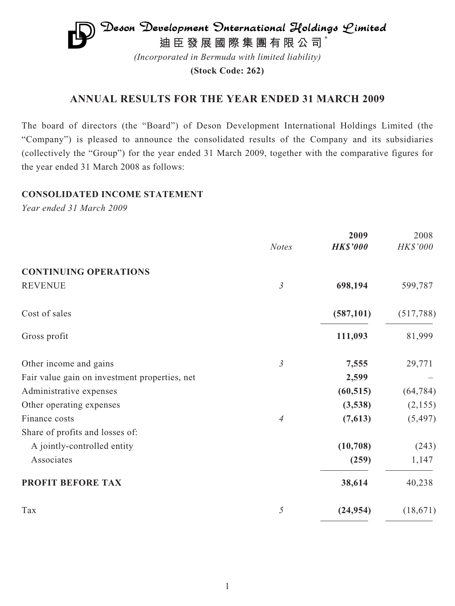

*(Incorporated in Bermuda with limited liability)*

**(Stock Code: 262)**

# **ANNUAL RESULTS FOR THE YEAR ENDED 31 MARCH 2009**

The board of directors (the "Board") of Deson Development International Holdings Limited (the "Company") is pleased to announce the consolidated results of the Company and its subsidiaries (collectively the "Group") for the year ended 31 March 2009, together with the comparative figures for the year ended 31 March 2008 as follows:

## **CONSOLIDATED INCOME STATEMENT**

*Year ended 31 March 2009*

|                                               | <b>Notes</b>   | 2009<br><b>HK\$'000</b> | 2008<br>HK\$'000 |
|-----------------------------------------------|----------------|-------------------------|------------------|
| <b>CONTINUING OPERATIONS</b>                  |                |                         |                  |
| <b>REVENUE</b>                                | $\mathfrak{Z}$ | 698,194                 | 599,787          |
| Cost of sales                                 |                | (587, 101)              | (517,788)        |
| Gross profit                                  |                | 111,093                 | 81,999           |
| Other income and gains                        | $\mathfrak{Z}$ | 7,555                   | 29,771           |
| Fair value gain on investment properties, net |                | 2,599                   |                  |
| Administrative expenses                       |                | (60, 515)               | (64, 784)        |
| Other operating expenses                      |                | (3,538)                 | (2,155)          |
| Finance costs                                 | $\overline{A}$ | (7,613)                 | (5, 497)         |
| Share of profits and losses of:               |                |                         |                  |
| A jointly-controlled entity                   |                | (10,708)                | (243)            |
| Associates                                    |                | (259)                   | 1,147            |
| PROFIT BEFORE TAX                             |                | 38,614                  | 40,238           |
| Tax                                           | 5              | (24, 954)               | (18,671)         |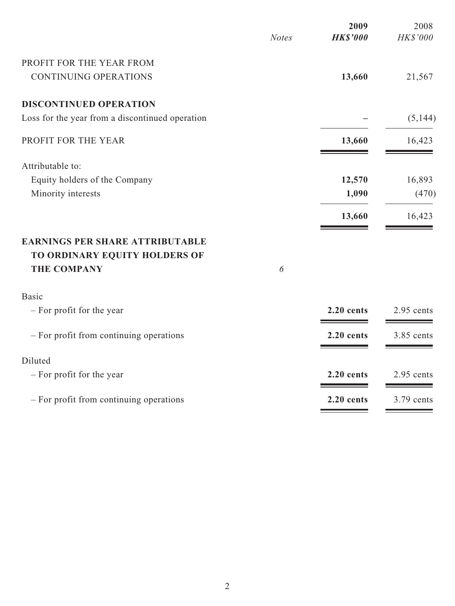|                                                                                               | <b>Notes</b> | 2009<br><b>HK\$'000</b> | 2008<br>HK\$'000 |
|-----------------------------------------------------------------------------------------------|--------------|-------------------------|------------------|
| PROFIT FOR THE YEAR FROM                                                                      |              |                         |                  |
| <b>CONTINUING OPERATIONS</b>                                                                  |              | 13,660                  | 21,567           |
| <b>DISCONTINUED OPERATION</b>                                                                 |              |                         |                  |
| Loss for the year from a discontinued operation                                               |              |                         | (5,144)          |
| PROFIT FOR THE YEAR                                                                           |              | 13,660                  | 16,423           |
| Attributable to:                                                                              |              |                         |                  |
| Equity holders of the Company                                                                 |              | 12,570                  | 16,893           |
| Minority interests                                                                            |              | 1,090                   | (470)            |
|                                                                                               |              | 13,660                  | 16,423           |
| <b>EARNINGS PER SHARE ATTRIBUTABLE</b><br>TO ORDINARY EQUITY HOLDERS OF<br><b>THE COMPANY</b> | 6            |                         |                  |
|                                                                                               |              |                         |                  |
| <b>Basic</b>                                                                                  |              |                         |                  |
| - For profit for the year                                                                     |              | 2.20 cents              | 2.95 cents       |
| - For profit from continuing operations                                                       |              | 2.20 cents              | 3.85 cents       |
| Diluted                                                                                       |              |                         |                  |
| - For profit for the year                                                                     |              | 2.20 cents              | 2.95 cents       |
| - For profit from continuing operations                                                       |              | 2.20 cents              | 3.79 cents       |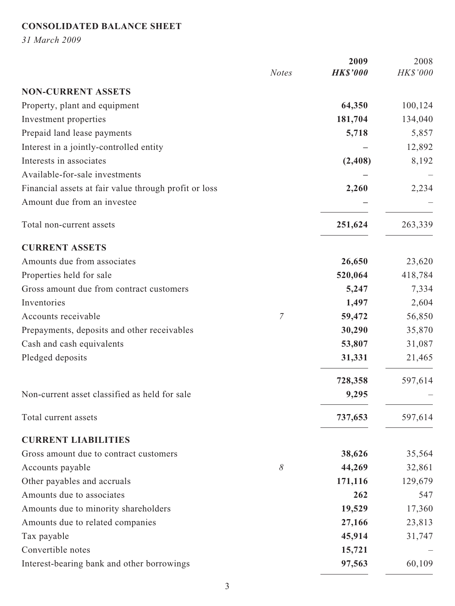# **CONSOLIDATED BALANCE SHEET**

*31 March 2009*

|                                                       | <b>Notes</b> | 2009<br><b>HK\$'000</b> | 2008<br>HK\$'000 |
|-------------------------------------------------------|--------------|-------------------------|------------------|
| <b>NON-CURRENT ASSETS</b>                             |              |                         |                  |
| Property, plant and equipment                         |              | 64,350                  | 100,124          |
| Investment properties                                 |              | 181,704                 | 134,040          |
| Prepaid land lease payments                           |              | 5,718                   | 5,857            |
| Interest in a jointly-controlled entity               |              |                         | 12,892           |
| Interests in associates                               |              | (2, 408)                | 8,192            |
| Available-for-sale investments                        |              |                         |                  |
| Financial assets at fair value through profit or loss |              | 2,260                   | 2,234            |
| Amount due from an investee                           |              |                         |                  |
| Total non-current assets                              |              | 251,624                 | 263,339          |
| <b>CURRENT ASSETS</b>                                 |              |                         |                  |
| Amounts due from associates                           |              | 26,650                  | 23,620           |
| Properties held for sale                              |              | 520,064                 | 418,784          |
| Gross amount due from contract customers              |              | 5,247                   | 7,334            |
| Inventories                                           |              | 1,497                   | 2,604            |
| Accounts receivable                                   | 7            | 59,472                  | 56,850           |
| Prepayments, deposits and other receivables           |              | 30,290                  | 35,870           |
| Cash and cash equivalents                             |              | 53,807                  | 31,087           |
| Pledged deposits                                      |              | 31,331                  | 21,465           |
|                                                       |              | 728,358                 | 597,614          |
| Non-current asset classified as held for sale         |              | 9,295                   |                  |
| Total current assets                                  |              | 737,653                 | 597,614          |
| <b>CURRENT LIABILITIES</b>                            |              |                         |                  |
| Gross amount due to contract customers                |              | 38,626                  | 35,564           |
| Accounts payable                                      | $\delta$     | 44,269                  | 32,861           |
| Other payables and accruals                           |              | 171,116                 | 129,679          |
| Amounts due to associates                             |              | 262                     | 547              |
| Amounts due to minority shareholders                  |              | 19,529                  | 17,360           |
| Amounts due to related companies                      |              | 27,166                  | 23,813           |
| Tax payable                                           |              | 45,914                  | 31,747           |
| Convertible notes                                     |              | 15,721                  |                  |
| Interest-bearing bank and other borrowings            |              | 97,563                  | 60,109           |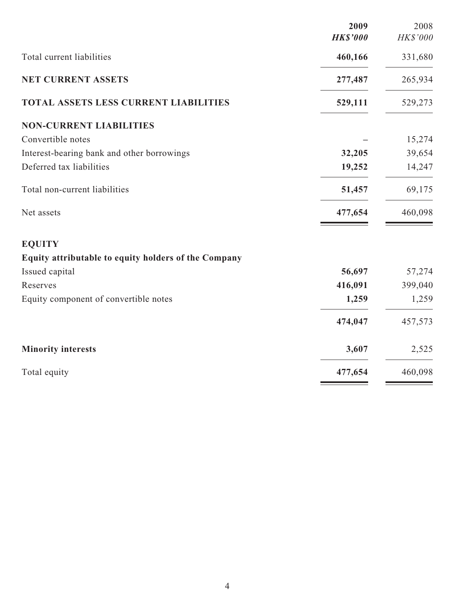|                                                      | 2009<br><b>HK\$'000</b> | 2008<br>HK\$'000 |
|------------------------------------------------------|-------------------------|------------------|
| Total current liabilities                            | 460,166                 | 331,680          |
| <b>NET CURRENT ASSETS</b>                            | 277,487                 | 265,934          |
| TOTAL ASSETS LESS CURRENT LIABILITIES                | 529,111                 | 529,273          |
| <b>NON-CURRENT LIABILITIES</b>                       |                         |                  |
| Convertible notes                                    |                         | 15,274           |
| Interest-bearing bank and other borrowings           | 32,205                  | 39,654           |
| Deferred tax liabilities                             | 19,252                  | 14,247           |
| Total non-current liabilities                        | 51,457                  | 69,175           |
| Net assets                                           | 477,654                 | 460,098          |
| <b>EQUITY</b>                                        |                         |                  |
| Equity attributable to equity holders of the Company |                         |                  |
| Issued capital                                       | 56,697                  | 57,274           |
| Reserves                                             | 416,091                 | 399,040          |
| Equity component of convertible notes                | 1,259                   | 1,259            |
|                                                      | 474,047                 | 457,573          |
| <b>Minority interests</b>                            | 3,607                   | 2,525            |
| Total equity                                         | 477,654                 | 460,098          |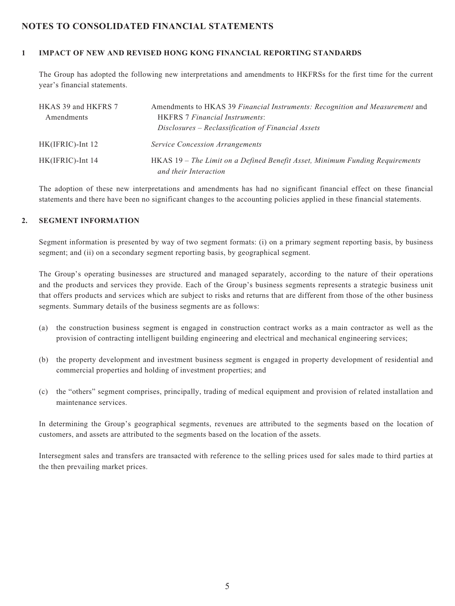## **NOTES TO CONSOLIDATED FINANCIAL STATEMENTS**

#### **1 IMPACT OF NEW AND REVISED HONG KONG FINANCIAL REPORTING STANDARDS**

The Group has adopted the following new interpretations and amendments to HKFRSs for the first time for the current year's financial statements.

| HKAS 39 and HKFRS 7 | Amendments to HKAS 39 Financial Instruments: Recognition and Measurement and |
|---------------------|------------------------------------------------------------------------------|
| Amendments          | <b>HKFRS</b> 7 Financial Instruments:                                        |
|                     | Disclosures – Reclassification of Financial Assets                           |
| $HK(IFRIC)$ -Int 12 | <b>Service Concession Arrangements</b>                                       |
| HK(IFRIC)-Int 14    | HKAS 19 – The Limit on a Defined Benefit Asset, Minimum Funding Requirements |
|                     | and their Interaction                                                        |

The adoption of these new interpretations and amendments has had no significant financial effect on these financial statements and there have been no significant changes to the accounting policies applied in these financial statements.

#### **2. SEGMENT INFORMATION**

Segment information is presented by way of two segment formats: (i) on a primary segment reporting basis, by business segment; and (ii) on a secondary segment reporting basis, by geographical segment.

The Group's operating businesses are structured and managed separately, according to the nature of their operations and the products and services they provide. Each of the Group's business segments represents a strategic business unit that offers products and services which are subject to risks and returns that are different from those of the other business segments. Summary details of the business segments are as follows:

- (a) the construction business segment is engaged in construction contract works as a main contractor as well as the provision of contracting intelligent building engineering and electrical and mechanical engineering services;
- (b) the property development and investment business segment is engaged in property development of residential and commercial properties and holding of investment properties; and
- (c) the "others" segment comprises, principally, trading of medical equipment and provision of related installation and maintenance services.

In determining the Group's geographical segments, revenues are attributed to the segments based on the location of customers, and assets are attributed to the segments based on the location of the assets.

Intersegment sales and transfers are transacted with reference to the selling prices used for sales made to third parties at the then prevailing market prices.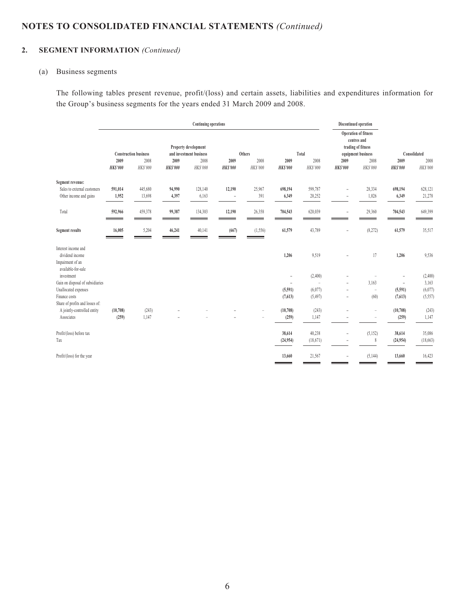## **2. SEGMENT INFORMATION** *(Continued)*

#### (a) Business segments

The following tables present revenue, profit/(loss) and certain assets, liabilities and expenditures information for the Group's business segments for the years ended 31 March 2009 and 2008.

|                                                                | Continuing operations                        |         |                                                       |         |                                                                     |                                                      | Discontinued operation |                                                      |                                            |                                                                                                                                       |                     |                                                             |  |
|----------------------------------------------------------------|----------------------------------------------|---------|-------------------------------------------------------|---------|---------------------------------------------------------------------|------------------------------------------------------|------------------------|------------------------------------------------------|--------------------------------------------|---------------------------------------------------------------------------------------------------------------------------------------|---------------------|-------------------------------------------------------------|--|
|                                                                | <b>Construction business</b><br>2009<br>2008 |         | 2009<br>HK\$'000<br><b>HK\$'000</b><br><b>HKS'000</b> |         | Property development<br>and investment business<br>2008<br>HK\$'000 | Others<br>2008<br>2009<br><b>HKS'000</b><br>HK\$'000 |                        | Total<br>2008<br>2009<br>HK\$'000<br><b>HK\$'000</b> |                                            | <b>Operation of fitness</b><br>centres and<br>trading of fitness<br>equipment business<br>2009<br>2008<br>HK\$'000<br><b>HK\$'000</b> |                     | Consolidated<br>2009<br>2008<br><b>HK\$'000</b><br>HK\$'000 |  |
| Segment revenue:                                               |                                              |         |                                                       |         |                                                                     |                                                      |                        |                                                      |                                            |                                                                                                                                       |                     |                                                             |  |
| Sales to external customers                                    | 591,014                                      | 445,680 | 94,990                                                | 128,140 | 12,190                                                              | 25,967                                               | 698,194                | 599,787                                              | $\overline{\phantom{a}}$                   | 28,334                                                                                                                                | 698,194             | 628,121                                                     |  |
| Other income and gains                                         | 1,952                                        | 13,698  | 4,397                                                 | 6,163   | $\equiv$                                                            | 391                                                  | 6,349                  | 20,252                                               | $\overline{\phantom{a}}$                   | 1,026                                                                                                                                 | 6,349               | 21,278                                                      |  |
| Total                                                          | 592,966                                      | 459,378 | 99,387                                                | 134,303 | 12,190                                                              | 26,358                                               | 704,543                | 620,039                                              | $\sim$                                     | 29,360                                                                                                                                | 704,543             | 649,399                                                     |  |
| <b>Segment results</b>                                         | 16,005                                       | 5,204   | 46,241                                                | 40,141  | (667)                                                               | (1, 556)<br>=                                        | 61,579                 | 43,789                                               | $\equiv$                                   | (8,272)                                                                                                                               | 61,579              | 35,517                                                      |  |
| Interest income and<br>dividend income                         |                                              |         |                                                       |         |                                                                     |                                                      | 1,206                  | 9,519                                                |                                            | 17                                                                                                                                    | 1,206               | 9,536                                                       |  |
| Impairment of an<br>available-for-sale                         |                                              |         |                                                       |         |                                                                     |                                                      |                        |                                                      |                                            |                                                                                                                                       |                     |                                                             |  |
| investment                                                     |                                              |         |                                                       |         |                                                                     |                                                      | ÷,                     | (2,400)                                              |                                            |                                                                                                                                       | $\sim$              | (2, 400)                                                    |  |
| Gain on disposal of subsidiaries<br>Unallocated expenses       |                                              |         |                                                       |         |                                                                     |                                                      | ÷<br>(5,591)           | ÷,<br>(6,077)                                        | $\overline{\phantom{a}}$<br>$\overline{a}$ | 3,163<br>$\sim$                                                                                                                       | $\equiv$<br>(5,591) | 3,163<br>(6,077)                                            |  |
| Finance costs                                                  |                                              |         |                                                       |         |                                                                     |                                                      | (7,613)                | (5, 497)                                             | $\overline{\phantom{a}}$                   | (60)                                                                                                                                  | (7,613)             | (5, 557)                                                    |  |
| Share of profits and losses of:<br>A jointly-controlled entity | (10,708)                                     | (243)   |                                                       |         |                                                                     | $\overline{a}$                                       | (10,708)               | (243)                                                |                                            | $\overline{a}$                                                                                                                        | (10,708)            | (243)                                                       |  |
| Associates                                                     | (259)                                        | 1,147   |                                                       |         |                                                                     |                                                      | (259)                  | 1,147                                                | $\overline{\phantom{a}}$                   | $\overline{a}$                                                                                                                        | (259)               | 1,147                                                       |  |
| Profit/(loss) before tax                                       |                                              |         |                                                       |         |                                                                     |                                                      | 38,614                 | 40,238                                               | $\overline{a}$                             | (5, 152)                                                                                                                              | 38,614              | 35,086                                                      |  |
| Tax                                                            |                                              |         |                                                       |         |                                                                     |                                                      | (24,954)               | (18,671)                                             | $\overline{\phantom{0}}$                   | $\,$ 8 $\,$                                                                                                                           | (24, 954)           | (18, 663)                                                   |  |
| Profit/(loss) for the year                                     |                                              |         |                                                       |         |                                                                     |                                                      | 13,660                 | 21,567                                               |                                            | (5,144)                                                                                                                               | 13,660              | 16,423                                                      |  |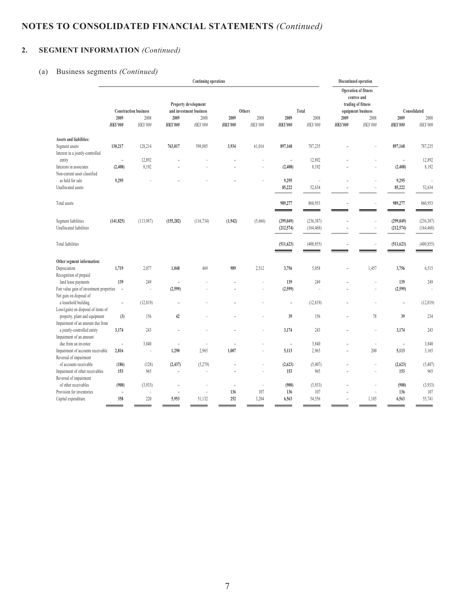# **2. SEGMENT INFORMATION** *(Continued)*

#### (a) Business segments *(Continued)*

|                                          |                          |                              |                          | <b>Continuing operations</b> |                 |                          |                 |            | Discontinued operation                                           |                    |                          |              |
|------------------------------------------|--------------------------|------------------------------|--------------------------|------------------------------|-----------------|--------------------------|-----------------|------------|------------------------------------------------------------------|--------------------|--------------------------|--------------|
|                                          | Property development     |                              |                          |                              |                 |                          |                 |            | <b>Operation of fitness</b><br>centres and<br>trading of fitness |                    |                          |              |
|                                          |                          | <b>Construction business</b> |                          | and investment business      |                 | Others                   |                 | Total      |                                                                  | equipment business |                          | Consolidated |
|                                          | 2009                     | 2008                         | 2009                     | 2008                         | 2009            | 2008                     | 2009            | 2008       | 2009                                                             | 2008               | 2009                     | 2008         |
|                                          | <b>HKS'000</b>           | HK\$'000                     | <b>HK\$'000</b>          | HK\$'000                     | <b>HK\$'000</b> | HK\$'000                 | <b>HK\$'000</b> | HK\$'000   | <b>HK\$'000</b>                                                  | HK\$'000           | <b>HKS'000</b>           | HK\$'000     |
| <b>Assets and liabilities:</b>           |                          |                              |                          |                              |                 |                          |                 |            |                                                                  |                    |                          |              |
| Segment assets                           | 130,217                  | 128,214                      | 763,017                  | 598,005                      | 3,934           | 61,016                   | 897,168         | 787,235    |                                                                  |                    | 897,168                  | 787,235      |
| Interest in a jointly-controlled         |                          |                              |                          |                              |                 |                          |                 |            |                                                                  |                    |                          |              |
| entity                                   | $\sim$                   | 12,892                       |                          |                              | L,              |                          | $\sim$          | 12,892     |                                                                  | L.                 | $\bar{a}$                | 12,892       |
| Interests in associates                  | (2, 408)                 | 8,192                        |                          |                              | L.              | ÷,                       | (2, 408)        | 8,192      |                                                                  | Ē,                 | (2, 408)                 | 8,192        |
| Non-current asset classified             |                          |                              |                          |                              |                 |                          |                 |            |                                                                  |                    |                          |              |
| as held for sale                         | 9,295                    |                              |                          |                              |                 |                          | 9,295           | L,         |                                                                  |                    | 9,295                    |              |
| Unallocated assets                       |                          |                              |                          |                              |                 |                          | 85,222          | 52,634     |                                                                  | Ē,                 | 85,222                   | 52,634       |
|                                          |                          |                              |                          |                              |                 |                          |                 |            |                                                                  |                    |                          |              |
| Total assets                             |                          |                              |                          |                              |                 |                          | 989,277         | 860,953    |                                                                  | Ē,                 | 989,277                  | 860,953      |
| Segment liabilities                      | (141, 825)               | (113,987)                    | (155, 282)               | (116, 734)                   | (1,942)         | (5,666)                  | (299, 049)      | (236, 387) | $\overline{\phantom{a}}$                                         | i.                 | (299, 049)               | (236, 387)   |
| Unallocated liabilities                  |                          |                              |                          |                              |                 |                          | (212, 574)      | (164, 468) |                                                                  | L.                 | (212, 574)               | (164, 468)   |
| <b>Total liabilities</b>                 |                          |                              |                          |                              |                 |                          | (511, 623)      | (400, 855) | $\bar{a}$                                                        | Ĭ.                 | (511, 623)               | (400, 855)   |
|                                          |                          |                              |                          |                              |                 |                          |                 |            |                                                                  |                    |                          |              |
| Other segment information:               |                          |                              |                          |                              |                 |                          |                 |            |                                                                  |                    |                          |              |
| Depreciation                             | 1,719                    | 2,077                        | 1,048                    | 469                          | 989             | 2,512                    | 3,756           | 5,058      | L,                                                               | 1,457              | 3,756                    | 6,515        |
| Recognition of prepaid                   |                          |                              |                          |                              |                 |                          |                 |            |                                                                  |                    |                          |              |
| land lease payments                      | 139                      | 249                          | $\equiv$                 | ÷.                           | ۳               | ÷                        | 139             | 249        |                                                                  | L.                 | 139                      | 249          |
| Fair value gain of investment properties | $\sim$                   | L,                           | (2,599)                  |                              |                 |                          | (2,599)         | L.         |                                                                  | L,                 | (2,599)                  |              |
| Net gain on disposal of                  |                          |                              |                          |                              |                 |                          |                 |            |                                                                  |                    |                          |              |
| a leasehold building                     | $\sim$                   | (12, 819)                    | $\equiv$                 |                              |                 |                          | J.              | (12, 819)  |                                                                  |                    | ÷,                       | (12, 819)    |
| Loss/(gain) on disposal of items of      |                          |                              |                          |                              |                 |                          |                 |            |                                                                  |                    |                          |              |
| property, plant and equipment            | (3)                      | 156                          | 42                       |                              |                 | ÷,                       | 39              | 156        | L,                                                               | 78                 | 39                       | 234          |
| Impairment of an amount due from         |                          |                              |                          |                              |                 |                          |                 |            |                                                                  |                    |                          |              |
| a jointly-controlled entity              | 3,174                    | 243                          |                          |                              |                 | ÷,                       | 3,174           | 243        |                                                                  | Ē,                 | 3,174                    | 243          |
| Impairment of an amount                  |                          |                              |                          |                              |                 |                          |                 |            |                                                                  |                    |                          |              |
| due from an investee                     | ÷,                       | 3,840                        | $\overline{\phantom{a}}$ | $\overline{\phantom{a}}$     | $\equiv$        | ÷                        | $\equiv$        | 3,840      | $\overline{\phantom{a}}$                                         | $\overline{a}$     | $\overline{\phantom{a}}$ | 3,840        |
| Impairment of accounts receivable        | 2,816                    | i.                           | 1,290                    | 2,965                        | 1,007           | $\overline{a}$           | 5,113           | 2,965      | L,                                                               | 200                | 5,113                    | 3,165        |
| Reversal of impairment                   |                          |                              |                          |                              |                 |                          |                 |            |                                                                  |                    |                          |              |
| of accounts receivable                   | (186)                    | (128)                        | (2, 437)                 | (5,279)                      | ÷               | ÷,                       | (2,623)         | (5,407)    |                                                                  | i.                 | (2,623)                  | (5, 407)     |
| Impairment of other receivables          | 153                      | 965                          | $\overline{\phantom{a}}$ | L.                           |                 |                          | 153             | 965        |                                                                  | Ē,                 | 153                      | 965          |
| Reversal of impairment                   |                          |                              |                          |                              |                 |                          |                 |            |                                                                  |                    |                          |              |
| of other receivables                     | (900)                    | (3,933)                      | $\overline{a}$           | L.                           | $\equiv$        | $\overline{\phantom{a}}$ | (900)           | (3,933)    |                                                                  | Ē,                 | (900)                    | (3,933)      |
| Provision for inventories                | $\overline{\phantom{a}}$ | L,                           |                          | ÷.                           | 136             | 107                      | 136             | 107        |                                                                  | i.                 | 136                      | 107          |
|                                          |                          |                              |                          |                              |                 |                          |                 |            |                                                                  |                    |                          |              |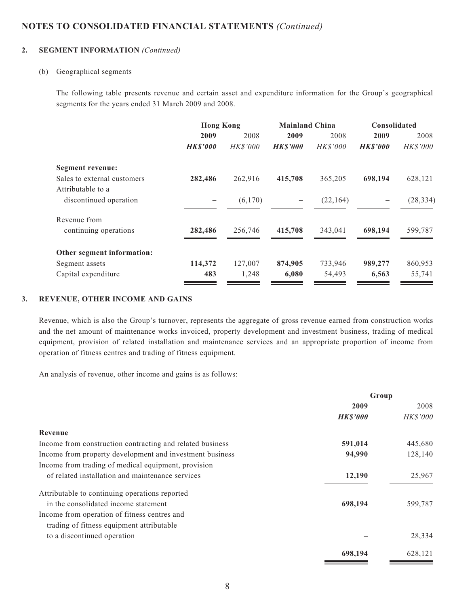#### **2. SEGMENT INFORMATION** *(Continued)*

#### (b) Geographical segments

The following table presents revenue and certain asset and expenditure information for the Group's geographical segments for the years ended 31 March 2009 and 2008.

|                                                  | <b>Hong Kong</b> |                 | <b>Mainland China</b> |                 | Consolidated   |           |  |
|--------------------------------------------------|------------------|-----------------|-----------------------|-----------------|----------------|-----------|--|
|                                                  | 2009             | 2008            | 2009                  | 2008            | 2009           | 2008      |  |
|                                                  | <b>HK\$'000</b>  | <b>HK\$'000</b> | <b>HK\$'000</b>       | <b>HK\$'000</b> | <b>HKS'000</b> | HK\$'000  |  |
| Segment revenue:                                 |                  |                 |                       |                 |                |           |  |
| Sales to external customers<br>Attributable to a | 282,486          | 262,916         | 415,708               | 365,205         | 698,194        | 628,121   |  |
| discontinued operation                           |                  | (6,170)         | $\qquad \qquad$       | (22, 164)       |                | (28, 334) |  |
| Revenue from                                     |                  |                 |                       |                 |                |           |  |
| continuing operations                            | 282,486          | 256,746         | 415,708               | 343,041         | 698,194        | 599,787   |  |
| Other segment information:                       |                  |                 |                       |                 |                |           |  |
| Segment assets                                   | 114,372          | 127,007         | 874,905               | 733,946         | 989,277        | 860,953   |  |
| Capital expenditure                              | 483              | 1,248           | 6,080                 | 54,493          | 6,563          | 55,741    |  |

#### **3. REVENUE, OTHER INCOME AND GAINS**

Revenue, which is also the Group's turnover, represents the aggregate of gross revenue earned from construction works and the net amount of maintenance works invoiced, property development and investment business, trading of medical equipment, provision of related installation and maintenance services and an appropriate proportion of income from operation of fitness centres and trading of fitness equipment.

An analysis of revenue, other income and gains is as follows:

|                                                           | Group          |                 |  |
|-----------------------------------------------------------|----------------|-----------------|--|
|                                                           | 2009           | 2008            |  |
|                                                           | <b>HKS'000</b> | <b>HK\$'000</b> |  |
| Revenue                                                   |                |                 |  |
| Income from construction contracting and related business | 591,014        | 445,680         |  |
| Income from property development and investment business  | 94,990         | 128,140         |  |
| Income from trading of medical equipment, provision       |                |                 |  |
| of related installation and maintenance services          | 12,190         | 25,967          |  |
| Attributable to continuing operations reported            |                |                 |  |
| in the consolidated income statement                      | 698,194        | 599,787         |  |
| Income from operation of fitness centres and              |                |                 |  |
| trading of fitness equipment attributable                 |                |                 |  |
| to a discontinued operation                               |                | 28,334          |  |
|                                                           | 698,194        | 628,121         |  |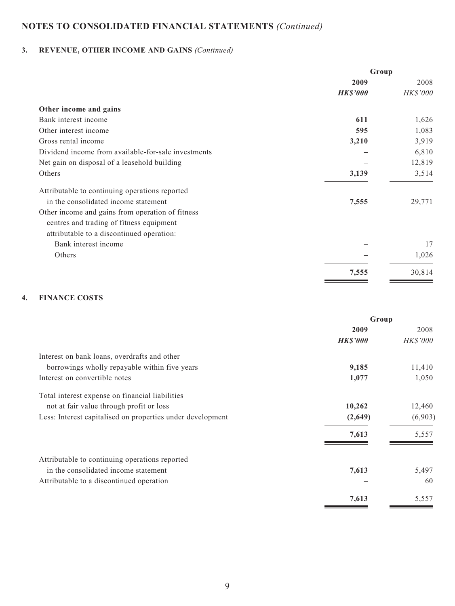# **3. REVENUE, OTHER INCOME AND GAINS** *(Continued)*

|                                                     | Group           |          |  |
|-----------------------------------------------------|-----------------|----------|--|
|                                                     | 2009            | 2008     |  |
|                                                     | <b>HK\$'000</b> | HK\$'000 |  |
| Other income and gains                              |                 |          |  |
| Bank interest income                                | 611             | 1,626    |  |
| Other interest income                               | 595             | 1,083    |  |
| Gross rental income                                 | 3,210           | 3,919    |  |
| Dividend income from available-for-sale investments |                 | 6,810    |  |
| Net gain on disposal of a leasehold building        |                 | 12,819   |  |
| Others                                              | 3,139           | 3,514    |  |
| Attributable to continuing operations reported      |                 |          |  |
| in the consolidated income statement                | 7,555           | 29,771   |  |
| Other income and gains from operation of fitness    |                 |          |  |
| centres and trading of fitness equipment            |                 |          |  |
| attributable to a discontinued operation:           |                 |          |  |
| Bank interest income                                |                 | 17       |  |
| Others                                              |                 | 1,026    |  |
|                                                     | 7,555           | 30,814   |  |

#### **4. FINANCE COSTS**

| Group           |                 |  |
|-----------------|-----------------|--|
| 2009            | 2008            |  |
| <b>HK\$'000</b> | <i>HK\$'000</i> |  |
|                 |                 |  |
| 9,185           | 11,410          |  |
| 1,077           | 1,050           |  |
|                 |                 |  |
| 10,262          | 12,460          |  |
| (2,649)         | (6,903)         |  |
| 7,613           | 5,557           |  |
|                 |                 |  |
| 7,613           | 5,497           |  |
|                 | 60              |  |
| 7,613           | 5,557           |  |
|                 |                 |  |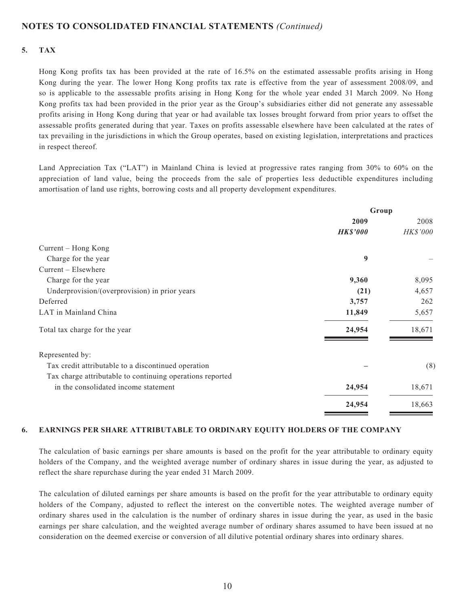#### **5. TAX**

Hong Kong profits tax has been provided at the rate of 16.5% on the estimated assessable profits arising in Hong Kong during the year. The lower Hong Kong profits tax rate is effective from the year of assessment 2008/09, and so is applicable to the assessable profits arising in Hong Kong for the whole year ended 31 March 2009. No Hong Kong profits tax had been provided in the prior year as the Group's subsidiaries either did not generate any assessable profits arising in Hong Kong during that year or had available tax losses brought forward from prior years to offset the assessable profits generated during that year. Taxes on profits assessable elsewhere have been calculated at the rates of tax prevailing in the jurisdictions in which the Group operates, based on existing legislation, interpretations and practices in respect thereof.

Land Appreciation Tax ("LAT") in Mainland China is levied at progressive rates ranging from 30% to 60% on the appreciation of land value, being the proceeds from the sale of properties less deductible expenditures including amortisation of land use rights, borrowing costs and all property development expenditures.

|                                                           | Group           |          |  |
|-----------------------------------------------------------|-----------------|----------|--|
|                                                           | 2009            | 2008     |  |
|                                                           | <b>HK\$'000</b> | HK\$'000 |  |
| Current – Hong Kong                                       |                 |          |  |
| Charge for the year                                       | 9               |          |  |
| $Current - Elsewhere$                                     |                 |          |  |
| Charge for the year                                       | 9,360           | 8,095    |  |
| Underprovision/(overprovision) in prior years             | (21)            | 4,657    |  |
| Deferred                                                  | 3,757           | 262      |  |
| LAT in Mainland China                                     | 11,849          | 5,657    |  |
| Total tax charge for the year                             | 24,954          | 18,671   |  |
| Represented by:                                           |                 |          |  |
| Tax credit attributable to a discontinued operation       |                 | (8)      |  |
| Tax charge attributable to continuing operations reported |                 |          |  |
| in the consolidated income statement                      | 24,954          | 18,671   |  |
|                                                           | 24,954          | 18,663   |  |
|                                                           |                 |          |  |

#### **6. EARNINGS PER SHARE ATTRIBUTABLE TO ORDINARY EQUITY HOLDERS OF THE COMPANY**

The calculation of basic earnings per share amounts is based on the profit for the year attributable to ordinary equity holders of the Company, and the weighted average number of ordinary shares in issue during the year, as adjusted to reflect the share repurchase during the year ended 31 March 2009.

The calculation of diluted earnings per share amounts is based on the profit for the year attributable to ordinary equity holders of the Company, adjusted to reflect the interest on the convertible notes. The weighted average number of ordinary shares used in the calculation is the number of ordinary shares in issue during the year, as used in the basic earnings per share calculation, and the weighted average number of ordinary shares assumed to have been issued at no consideration on the deemed exercise or conversion of all dilutive potential ordinary shares into ordinary shares.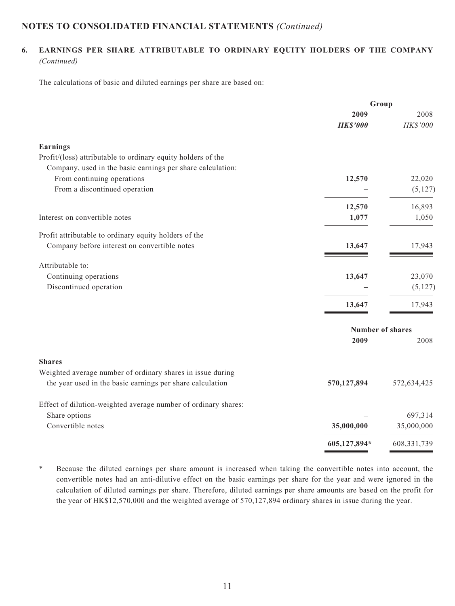#### **6. EARNINGS PER SHARE ATTRIBUTABLE TO ORDINARY EQUITY HOLDERS OF THE COMPANY**  *(Continued)*

The calculations of basic and diluted earnings per share are based on:

|                                                                | Group                   |             |
|----------------------------------------------------------------|-------------------------|-------------|
|                                                                | 2009                    | 2008        |
|                                                                | <b>HK\$'000</b>         | HK\$'000    |
| Earnings                                                       |                         |             |
| Profit/(loss) attributable to ordinary equity holders of the   |                         |             |
| Company, used in the basic earnings per share calculation:     |                         |             |
| From continuing operations                                     | 12,570                  | 22,020      |
| From a discontinued operation                                  |                         | (5,127)     |
|                                                                | 12,570                  | 16,893      |
| Interest on convertible notes                                  | 1,077                   | 1,050       |
| Profit attributable to ordinary equity holders of the          |                         |             |
| Company before interest on convertible notes                   | 13,647                  | 17,943      |
| Attributable to:                                               |                         |             |
| Continuing operations                                          | 13,647                  | 23,070      |
| Discontinued operation                                         |                         | (5,127)     |
|                                                                | 13,647                  | 17,943      |
|                                                                | <b>Number of shares</b> |             |
|                                                                | 2009                    | 2008        |
| <b>Shares</b>                                                  |                         |             |
| Weighted average number of ordinary shares in issue during     |                         |             |
| the year used in the basic earnings per share calculation      | 570,127,894             | 572,634,425 |
| Effect of dilution-weighted average number of ordinary shares: |                         |             |
| Share options                                                  |                         | 697,314     |
| Convertible notes                                              | 35,000,000              | 35,000,000  |
|                                                                | 605,127,894*            | 608,331,739 |

\* Because the diluted earnings per share amount is increased when taking the convertible notes into account, the convertible notes had an anti-dilutive effect on the basic earnings per share for the year and were ignored in the calculation of diluted earnings per share. Therefore, diluted earnings per share amounts are based on the profit for the year of HK\$12,570,000 and the weighted average of 570,127,894 ordinary shares in issue during the year.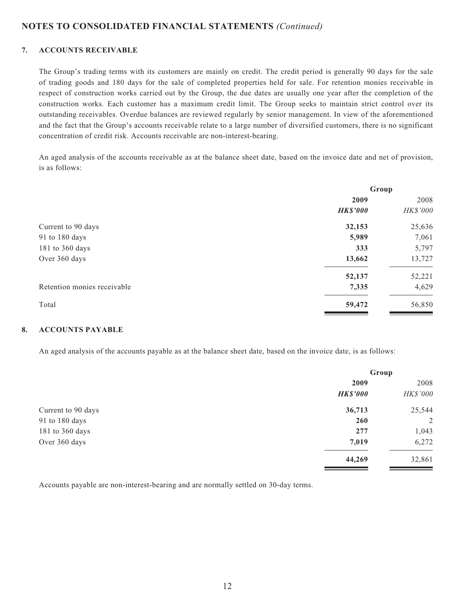#### **7. ACCOUNTS RECEIVABLE**

The Group's trading terms with its customers are mainly on credit. The credit period is generally 90 days for the sale of trading goods and 180 days for the sale of completed properties held for sale. For retention monies receivable in respect of construction works carried out by the Group, the due dates are usually one year after the completion of the construction works. Each customer has a maximum credit limit. The Group seeks to maintain strict control over its outstanding receivables. Overdue balances are reviewed regularly by senior management. In view of the aforementioned and the fact that the Group's accounts receivable relate to a large number of diversified customers, there is no significant concentration of credit risk. Accounts receivable are non-interest-bearing.

An aged analysis of the accounts receivable as at the balance sheet date, based on the invoice date and net of provision, is as follows:

|                             | Group           |          |  |
|-----------------------------|-----------------|----------|--|
|                             | 2009            | 2008     |  |
|                             | <b>HK\$'000</b> | HK\$'000 |  |
| Current to 90 days          | 32,153          | 25,636   |  |
| 91 to 180 days              | 5,989           | 7,061    |  |
| 181 to 360 days             | 333             | 5,797    |  |
| Over 360 days               | 13,662          | 13,727   |  |
|                             | 52,137          | 52,221   |  |
| Retention monies receivable | 7,335           | 4,629    |  |
| Total                       | 59,472          | 56,850   |  |

#### **8. ACCOUNTS PAYABLE**

An aged analysis of the accounts payable as at the balance sheet date, based on the invoice date, is as follows:

|                    | Group           |          |
|--------------------|-----------------|----------|
|                    | 2009            | 2008     |
|                    | <b>HK\$'000</b> | HK\$'000 |
| Current to 90 days | 36,713          | 25,544   |
| 91 to 180 days     | <b>260</b>      | 2        |
| 181 to 360 days    | 277             | 1,043    |
| Over 360 days      | 7,019           | 6,272    |
|                    | 44,269          | 32,861   |

Accounts payable are non-interest-bearing and are normally settled on 30-day terms.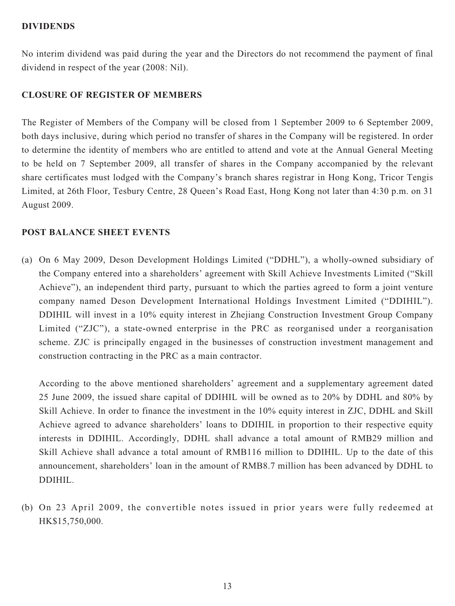#### **DIVIDENDS**

No interim dividend was paid during the year and the Directors do not recommend the payment of final dividend in respect of the year (2008: Nil).

#### **CLOSURE OF REGISTER OF MEMBERS**

The Register of Members of the Company will be closed from 1 September 2009 to 6 September 2009, both days inclusive, during which period no transfer of shares in the Company will be registered. In order to determine the identity of members who are entitled to attend and vote at the Annual General Meeting to be held on 7 September 2009, all transfer of shares in the Company accompanied by the relevant share certificates must lodged with the Company's branch shares registrar in Hong Kong, Tricor Tengis Limited, at 26th Floor, Tesbury Centre, 28 Queen's Road East, Hong Kong not later than 4:30 p.m. on 31 August 2009.

## **POST BALANCE SHEET EVENTS**

(a) On 6 May 2009, Deson Development Holdings Limited ("DDHL"), a wholly-owned subsidiary of the Company entered into a shareholders' agreement with Skill Achieve Investments Limited ("Skill Achieve"), an independent third party, pursuant to which the parties agreed to form a joint venture company named Deson Development International Holdings Investment Limited ("DDIHIL"). DDIHIL will invest in a 10% equity interest in Zhejiang Construction Investment Group Company Limited ("ZJC"), a state-owned enterprise in the PRC as reorganised under a reorganisation scheme. ZJC is principally engaged in the businesses of construction investment management and construction contracting in the PRC as a main contractor.

According to the above mentioned shareholders' agreement and a supplementary agreement dated 25 June 2009, the issued share capital of DDIHIL will be owned as to 20% by DDHL and 80% by Skill Achieve. In order to finance the investment in the 10% equity interest in ZJC, DDHL and Skill Achieve agreed to advance shareholders' loans to DDIHIL in proportion to their respective equity interests in DDIHIL. Accordingly, DDHL shall advance a total amount of RMB29 million and Skill Achieve shall advance a total amount of RMB116 million to DDIHIL. Up to the date of this announcement, shareholders' loan in the amount of RMB8.7 million has been advanced by DDHL to DDIHIL.

(b) On 23 April 2009, the convertible notes issued in prior years were fully redeemed at HK\$15,750,000.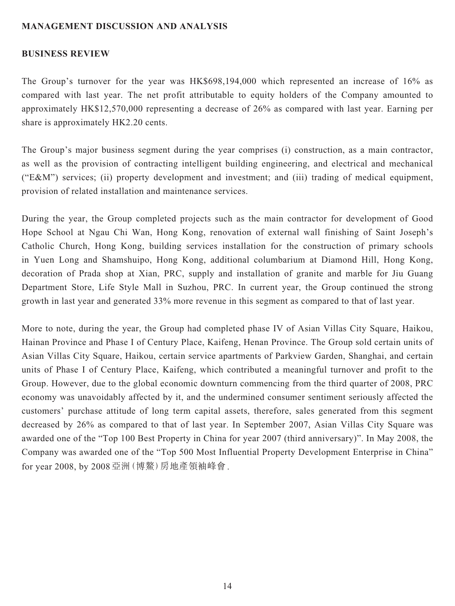#### **MANAGEMENT DISCUSSION AND ANALYSIS**

#### **BUSINESS REVIEW**

The Group's turnover for the year was HK\$698,194,000 which represented an increase of 16% as compared with last year. The net profit attributable to equity holders of the Company amounted to approximately HK\$12,570,000 representing a decrease of 26% as compared with last year. Earning per share is approximately HK2.20 cents.

The Group's major business segment during the year comprises (i) construction, as a main contractor, as well as the provision of contracting intelligent building engineering, and electrical and mechanical ("E&M") services; (ii) property development and investment; and (iii) trading of medical equipment, provision of related installation and maintenance services.

During the year, the Group completed projects such as the main contractor for development of Good Hope School at Ngau Chi Wan, Hong Kong, renovation of external wall finishing of Saint Joseph's Catholic Church, Hong Kong, building services installation for the construction of primary schools in Yuen Long and Shamshuipo, Hong Kong, additional columbarium at Diamond Hill, Hong Kong, decoration of Prada shop at Xian, PRC, supply and installation of granite and marble for Jiu Guang Department Store, Life Style Mall in Suzhou, PRC. In current year, the Group continued the strong growth in last year and generated 33% more revenue in this segment as compared to that of last year.

More to note, during the year, the Group had completed phase IV of Asian Villas City Square, Haikou, Hainan Province and Phase I of Century Place, Kaifeng, Henan Province. The Group sold certain units of Asian Villas City Square, Haikou, certain service apartments of Parkview Garden, Shanghai, and certain units of Phase I of Century Place, Kaifeng, which contributed a meaningful turnover and profit to the Group. However, due to the global economic downturn commencing from the third quarter of 2008, PRC economy was unavoidably affected by it, and the undermined consumer sentiment seriously affected the customers' purchase attitude of long term capital assets, therefore, sales generated from this segment decreased by 26% as compared to that of last year. In September 2007, Asian Villas City Square was awarded one of the "Top 100 Best Property in China for year 2007 (third anniversary)". In May 2008, the Company was awarded one of the "Top 500 Most Influential Property Development Enterprise in China" for year 2008, by 2008亞洲(博鰲)房地產領袖峰會.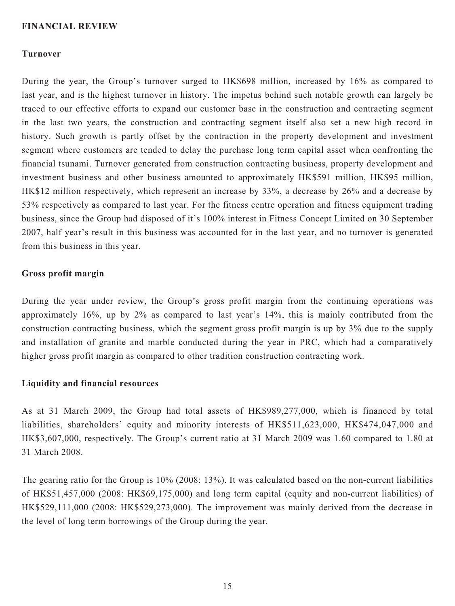#### **FINANCIAL REVIEW**

#### **Turnover**

During the year, the Group's turnover surged to HK\$698 million, increased by 16% as compared to last year, and is the highest turnover in history. The impetus behind such notable growth can largely be traced to our effective efforts to expand our customer base in the construction and contracting segment in the last two years, the construction and contracting segment itself also set a new high record in history. Such growth is partly offset by the contraction in the property development and investment segment where customers are tended to delay the purchase long term capital asset when confronting the financial tsunami. Turnover generated from construction contracting business, property development and investment business and other business amounted to approximately HK\$591 million, HK\$95 million, HK\$12 million respectively, which represent an increase by 33%, a decrease by 26% and a decrease by 53% respectively as compared to last year. For the fitness centre operation and fitness equipment trading business, since the Group had disposed of it's 100% interest in Fitness Concept Limited on 30 September 2007, half year's result in this business was accounted for in the last year, and no turnover is generated from this business in this year.

#### **Gross profit margin**

During the year under review, the Group's gross profit margin from the continuing operations was approximately 16%, up by 2% as compared to last year's 14%, this is mainly contributed from the construction contracting business, which the segment gross profit margin is up by 3% due to the supply and installation of granite and marble conducted during the year in PRC, which had a comparatively higher gross profit margin as compared to other tradition construction contracting work.

#### **Liquidity and financial resources**

As at 31 March 2009, the Group had total assets of HK\$989,277,000, which is financed by total liabilities, shareholders' equity and minority interests of HK\$511,623,000, HK\$474,047,000 and HK\$3,607,000, respectively. The Group's current ratio at 31 March 2009 was 1.60 compared to 1.80 at 31 March 2008.

The gearing ratio for the Group is 10% (2008: 13%). It was calculated based on the non-current liabilities of HK\$51,457,000 (2008: HK\$69,175,000) and long term capital (equity and non-current liabilities) of HK\$529,111,000 (2008: HK\$529,273,000). The improvement was mainly derived from the decrease in the level of long term borrowings of the Group during the year.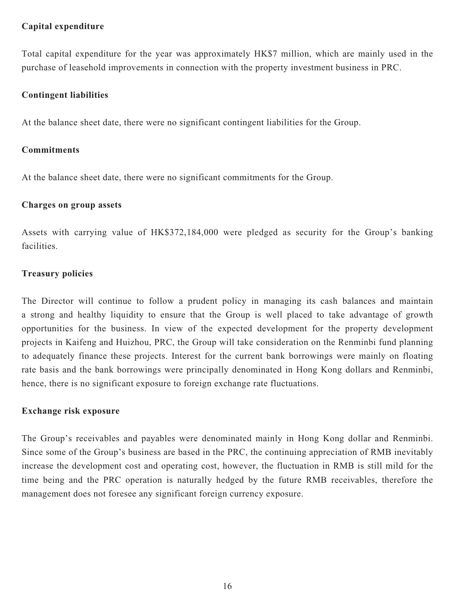## **Capital expenditure**

Total capital expenditure for the year was approximately HK\$7 million, which are mainly used in the purchase of leasehold improvements in connection with the property investment business in PRC.

## **Contingent liabilities**

At the balance sheet date, there were no significant contingent liabilities for the Group.

#### **Commitments**

At the balance sheet date, there were no significant commitments for the Group.

#### **Charges on group assets**

Assets with carrying value of HK\$372,184,000 were pledged as security for the Group's banking facilities.

## **Treasury policies**

The Director will continue to follow a prudent policy in managing its cash balances and maintain a strong and healthy liquidity to ensure that the Group is well placed to take advantage of growth opportunities for the business. In view of the expected development for the property development projects in Kaifeng and Huizhou, PRC, the Group will take consideration on the Renminbi fund planning to adequately finance these projects. Interest for the current bank borrowings were mainly on floating rate basis and the bank borrowings were principally denominated in Hong Kong dollars and Renminbi, hence, there is no significant exposure to foreign exchange rate fluctuations.

#### **Exchange risk exposure**

The Group's receivables and payables were denominated mainly in Hong Kong dollar and Renminbi. Since some of the Group's business are based in the PRC, the continuing appreciation of RMB inevitably increase the development cost and operating cost, however, the fluctuation in RMB is still mild for the time being and the PRC operation is naturally hedged by the future RMB receivables, therefore the management does not foresee any significant foreign currency exposure.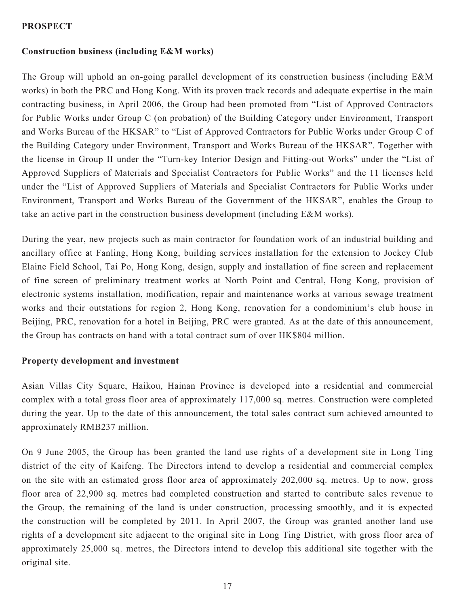## **PROSPECT**

## **Construction business (including E&M works)**

The Group will uphold an on-going parallel development of its construction business (including E&M works) in both the PRC and Hong Kong. With its proven track records and adequate expertise in the main contracting business, in April 2006, the Group had been promoted from "List of Approved Contractors for Public Works under Group C (on probation) of the Building Category under Environment, Transport and Works Bureau of the HKSAR" to "List of Approved Contractors for Public Works under Group C of the Building Category under Environment, Transport and Works Bureau of the HKSAR". Together with the license in Group II under the "Turn-key Interior Design and Fitting-out Works" under the "List of Approved Suppliers of Materials and Specialist Contractors for Public Works" and the 11 licenses held under the "List of Approved Suppliers of Materials and Specialist Contractors for Public Works under Environment, Transport and Works Bureau of the Government of the HKSAR", enables the Group to take an active part in the construction business development (including E&M works).

During the year, new projects such as main contractor for foundation work of an industrial building and ancillary office at Fanling, Hong Kong, building services installation for the extension to Jockey Club Elaine Field School, Tai Po, Hong Kong, design, supply and installation of fine screen and replacement of fine screen of preliminary treatment works at North Point and Central, Hong Kong, provision of electronic systems installation, modification, repair and maintenance works at various sewage treatment works and their outstations for region 2, Hong Kong, renovation for a condominium's club house in Beijing, PRC, renovation for a hotel in Beijing, PRC were granted. As at the date of this announcement, the Group has contracts on hand with a total contract sum of over HK\$804 million.

#### **Property development and investment**

Asian Villas City Square, Haikou, Hainan Province is developed into a residential and commercial complex with a total gross floor area of approximately 117,000 sq. metres. Construction were completed during the year. Up to the date of this announcement, the total sales contract sum achieved amounted to approximately RMB237 million.

On 9 June 2005, the Group has been granted the land use rights of a development site in Long Ting district of the city of Kaifeng. The Directors intend to develop a residential and commercial complex on the site with an estimated gross floor area of approximately 202,000 sq. metres. Up to now, gross floor area of 22,900 sq. metres had completed construction and started to contribute sales revenue to the Group, the remaining of the land is under construction, processing smoothly, and it is expected the construction will be completed by 2011. In April 2007, the Group was granted another land use rights of a development site adjacent to the original site in Long Ting District, with gross floor area of approximately 25,000 sq. metres, the Directors intend to develop this additional site together with the original site.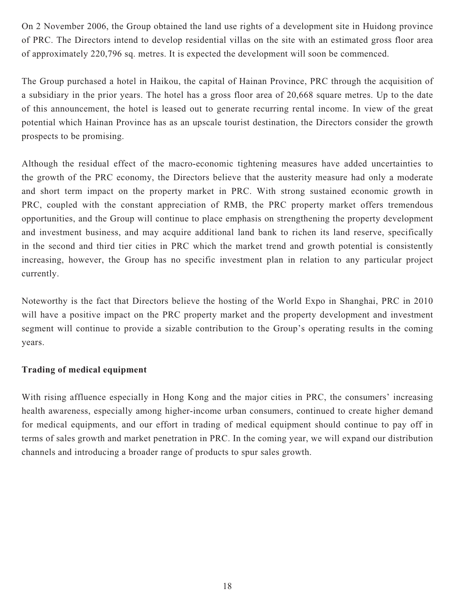On 2 November 2006, the Group obtained the land use rights of a development site in Huidong province of PRC. The Directors intend to develop residential villas on the site with an estimated gross floor area of approximately 220,796 sq. metres. It is expected the development will soon be commenced.

The Group purchased a hotel in Haikou, the capital of Hainan Province, PRC through the acquisition of a subsidiary in the prior years. The hotel has a gross floor area of 20,668 square metres. Up to the date of this announcement, the hotel is leased out to generate recurring rental income. In view of the great potential which Hainan Province has as an upscale tourist destination, the Directors consider the growth prospects to be promising.

Although the residual effect of the macro-economic tightening measures have added uncertainties to the growth of the PRC economy, the Directors believe that the austerity measure had only a moderate and short term impact on the property market in PRC. With strong sustained economic growth in PRC, coupled with the constant appreciation of RMB, the PRC property market offers tremendous opportunities, and the Group will continue to place emphasis on strengthening the property development and investment business, and may acquire additional land bank to richen its land reserve, specifically in the second and third tier cities in PRC which the market trend and growth potential is consistently increasing, however, the Group has no specific investment plan in relation to any particular project currently.

Noteworthy is the fact that Directors believe the hosting of the World Expo in Shanghai, PRC in 2010 will have a positive impact on the PRC property market and the property development and investment segment will continue to provide a sizable contribution to the Group's operating results in the coming years.

## **Trading of medical equipment**

With rising affluence especially in Hong Kong and the major cities in PRC, the consumers' increasing health awareness, especially among higher-income urban consumers, continued to create higher demand for medical equipments, and our effort in trading of medical equipment should continue to pay off in terms of sales growth and market penetration in PRC. In the coming year, we will expand our distribution channels and introducing a broader range of products to spur sales growth.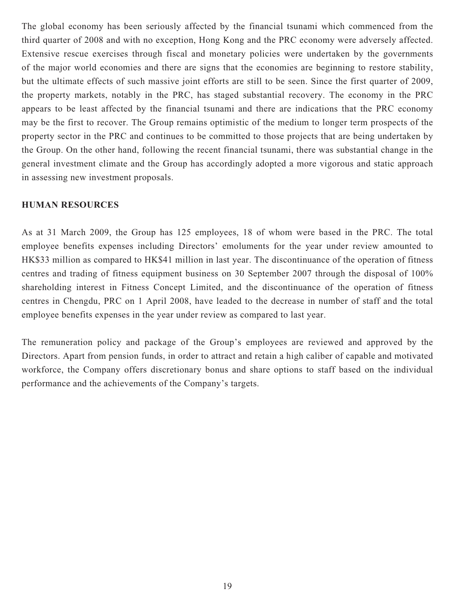The global economy has been seriously affected by the financial tsunami which commenced from the third quarter of 2008 and with no exception, Hong Kong and the PRC economy were adversely affected. Extensive rescue exercises through fiscal and monetary policies were undertaken by the governments of the major world economies and there are signs that the economies are beginning to restore stability, but the ultimate effects of such massive joint efforts are still to be seen. Since the first quarter of 2009, the property markets, notably in the PRC, has staged substantial recovery. The economy in the PRC appears to be least affected by the financial tsunami and there are indications that the PRC economy may be the first to recover. The Group remains optimistic of the medium to longer term prospects of the property sector in the PRC and continues to be committed to those projects that are being undertaken by the Group. On the other hand, following the recent financial tsunami, there was substantial change in the general investment climate and the Group has accordingly adopted a more vigorous and static approach in assessing new investment proposals.

## **HUMAN RESOURCES**

As at 31 March 2009, the Group has 125 employees, 18 of whom were based in the PRC. The total employee benefits expenses including Directors' emoluments for the year under review amounted to HK\$33 million as compared to HK\$41 million in last year. The discontinuance of the operation of fitness centres and trading of fitness equipment business on 30 September 2007 through the disposal of 100% shareholding interest in Fitness Concept Limited, and the discontinuance of the operation of fitness centres in Chengdu, PRC on 1 April 2008, have leaded to the decrease in number of staff and the total employee benefits expenses in the year under review as compared to last year.

The remuneration policy and package of the Group's employees are reviewed and approved by the Directors. Apart from pension funds, in order to attract and retain a high caliber of capable and motivated workforce, the Company offers discretionary bonus and share options to staff based on the individual performance and the achievements of the Company's targets.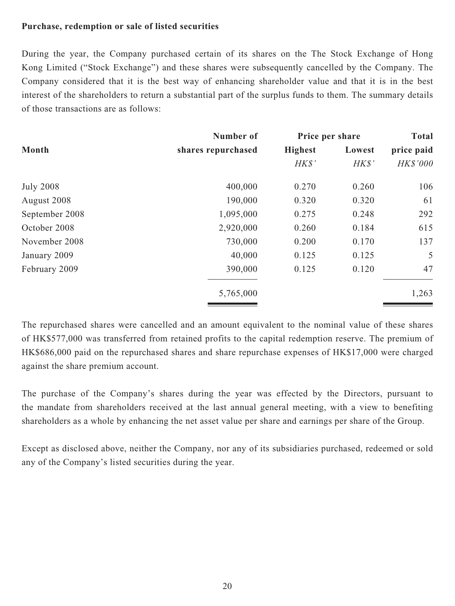#### **Purchase, redemption or sale of listed securities**

During the year, the Company purchased certain of its shares on the The Stock Exchange of Hong Kong Limited ("Stock Exchange") and these shares were subsequently cancelled by the Company. The Company considered that it is the best way of enhancing shareholder value and that it is in the best interest of the shareholders to return a substantial part of the surplus funds to them. The summary details of those transactions are as follows:

|                  | Number of          | Price per share |        | <b>Total</b> |  |
|------------------|--------------------|-----------------|--------|--------------|--|
| <b>Month</b>     | shares repurchased | <b>Highest</b>  | Lowest | price paid   |  |
|                  |                    | H K S'          | H K S' | HK\$'000     |  |
| <b>July 2008</b> | 400,000            | 0.270           | 0.260  | 106          |  |
| August 2008      | 190,000            | 0.320           | 0.320  | 61           |  |
| September 2008   | 1,095,000          | 0.275           | 0.248  | 292          |  |
| October 2008     | 2,920,000          | 0.260           | 0.184  | 615          |  |
| November 2008    | 730,000            | 0.200           | 0.170  | 137          |  |
| January 2009     | 40,000             | 0.125           | 0.125  | 5            |  |
| February 2009    | 390,000            | 0.125           | 0.120  | 47           |  |
|                  | 5,765,000          |                 |        | 1,263        |  |
|                  |                    |                 |        |              |  |

The repurchased shares were cancelled and an amount equivalent to the nominal value of these shares of HK\$577,000 was transferred from retained profits to the capital redemption reserve. The premium of HK\$686,000 paid on the repurchased shares and share repurchase expenses of HK\$17,000 were charged against the share premium account.

The purchase of the Company's shares during the year was effected by the Directors, pursuant to the mandate from shareholders received at the last annual general meeting, with a view to benefiting shareholders as a whole by enhancing the net asset value per share and earnings per share of the Group.

Except as disclosed above, neither the Company, nor any of its subsidiaries purchased, redeemed or sold any of the Company's listed securities during the year.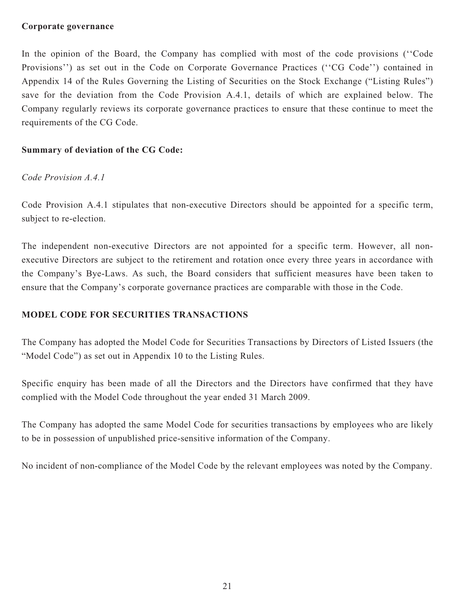#### **Corporate governance**

In the opinion of the Board, the Company has complied with most of the code provisions (''Code Provisions'') as set out in the Code on Corporate Governance Practices (''CG Code'') contained in Appendix 14 of the Rules Governing the Listing of Securities on the Stock Exchange ("Listing Rules") save for the deviation from the Code Provision A.4.1, details of which are explained below. The Company regularly reviews its corporate governance practices to ensure that these continue to meet the requirements of the CG Code.

# **Summary of deviation of the CG Code:**

# *Code Provision A.4.1*

Code Provision A.4.1 stipulates that non-executive Directors should be appointed for a specific term, subject to re-election.

The independent non-executive Directors are not appointed for a specific term. However, all nonexecutive Directors are subject to the retirement and rotation once every three years in accordance with the Company's Bye-Laws. As such, the Board considers that sufficient measures have been taken to ensure that the Company's corporate governance practices are comparable with those in the Code.

## **MODEL CODE FOR SECURITIES TRANSACTIONS**

The Company has adopted the Model Code for Securities Transactions by Directors of Listed Issuers (the "Model Code") as set out in Appendix 10 to the Listing Rules.

Specific enquiry has been made of all the Directors and the Directors have confirmed that they have complied with the Model Code throughout the year ended 31 March 2009.

The Company has adopted the same Model Code for securities transactions by employees who are likely to be in possession of unpublished price-sensitive information of the Company.

No incident of non-compliance of the Model Code by the relevant employees was noted by the Company.